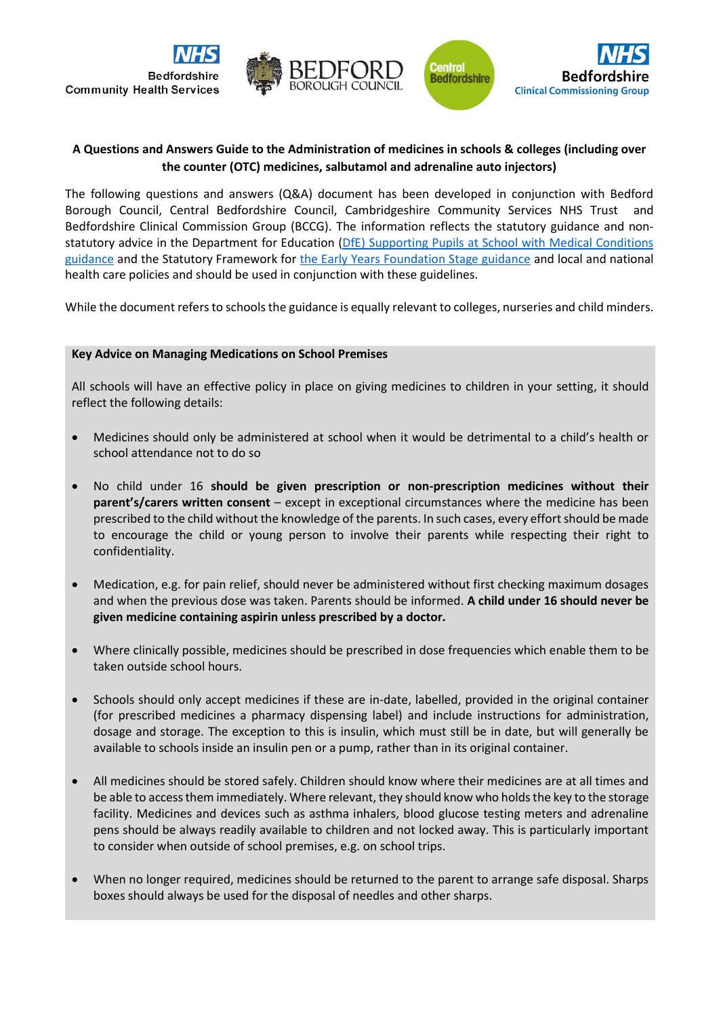

## **A Questions and Answers Guide to the Administration of medicines in schools & colleges (including over the counter (OTC) medicines, salbutamol and adrenaline auto injectors)**

The following questions and answers (Q&A) document has been developed in conjunction with Bedford Borough Council, Central Bedfordshire Council, Cambridgeshire Community Services NHS Trust and Bedfordshire Clinical Commission Group (BCCG). The information reflects the statutory guidance and nonstatutory advice in the Department for Education (DfE) Supporting Pupils at School with Medical Conditions [guidance](https://assets.publishing.service.gov.uk/government/uploads/system/uploads/attachment_data/file/638267/supporting-pupils-at-school-with-medical-conditions.pdf) and the Statutory Framework for [the Early Years Foundation Stage guidance](https://assets.publishing.service.gov.uk/government/uploads/system/uploads/attachment_data/file/596629/EYFS_STATUTORY_FRAMEWORK_2017.pdf) and local and national health care policies and should be used in conjunction with these guidelines.

While the document refers to schools the guidance is equally relevant to colleges, nurseries and child minders.

### **Key Advice on Managing Medications on School Premises**

All schools will have an effective policy in place on giving medicines to children in your setting, it should reflect the following details:

- Medicines should only be administered at school when it would be detrimental to a child's health or school attendance not to do so
- No child under 16 **should be given prescription or non-prescription medicines without their parent's/carers written consent** – except in exceptional circumstances where the medicine has been prescribed to the child without the knowledge of the parents. In such cases, every effort should be made to encourage the child or young person to involve their parents while respecting their right to confidentiality.
- Medication, e.g. for pain relief, should never be administered without first checking maximum dosages and when the previous dose was taken. Parents should be informed. **A child under 16 should never be given medicine containing aspirin unless prescribed by a doctor.**
- Where clinically possible, medicines should be prescribed in dose frequencies which enable them to be taken outside school hours.
- Schools should only accept medicines if these are in-date, labelled, provided in the original container (for prescribed medicines a pharmacy dispensing label) and include instructions for administration, dosage and storage. The exception to this is insulin, which must still be in date, but will generally be available to schools inside an insulin pen or a pump, rather than in its original container.
- All medicines should be stored safely. Children should know where their medicines are at all times and be able to access them immediately. Where relevant, they should know who holds the key to the storage facility. Medicines and devices such as asthma inhalers, blood glucose testing meters and adrenaline pens should be always readily available to children and not locked away. This is particularly important to consider when outside of school premises, e.g. on school trips.
- When no longer required, medicines should be returned to the parent to arrange safe disposal. Sharps boxes should always be used for the disposal of needles and other sharps.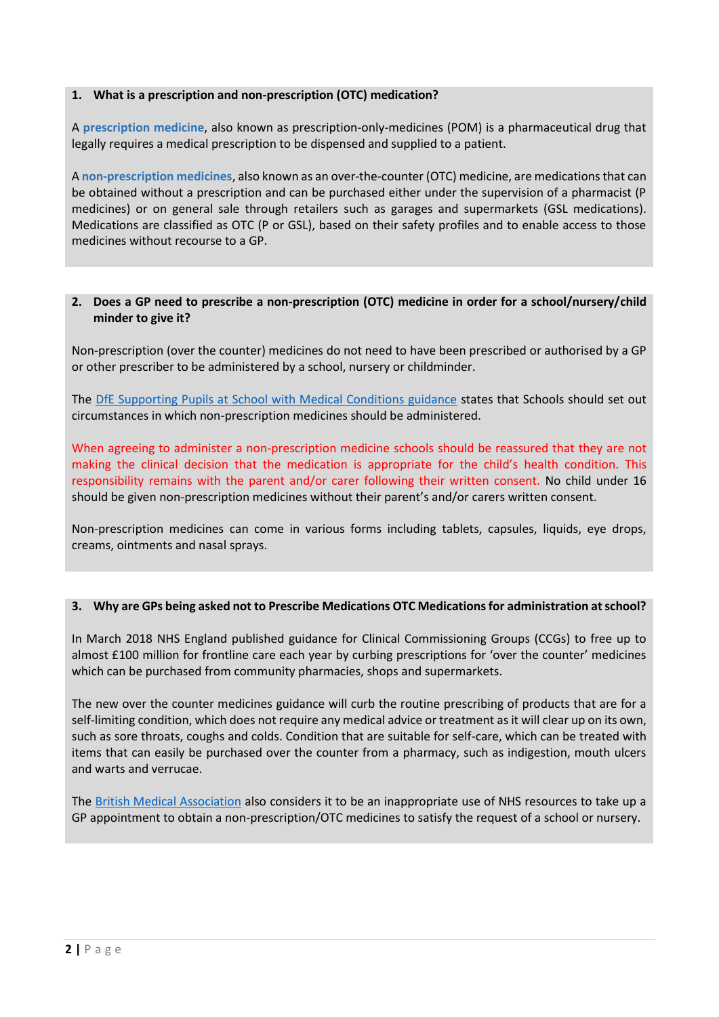## **1. What is a prescription and non-prescription (OTC) medication?**

A **prescription medicine**, also known as prescription-only-medicines (POM) is a pharmaceutical drug that legally requires a medical prescription to be dispensed and supplied to a patient.

A **non-prescription medicines**, also known as an over-the-counter (OTC) medicine, are medications that can be obtained without a prescription and can be purchased either under the supervision of a pharmacist (P medicines) or on general sale through retailers such as garages and supermarkets (GSL medications). Medications are classified as OTC (P or GSL), based on their safety profiles and to enable access to those medicines without recourse to a GP.

## **2. Does a GP need to prescribe a non-prescription (OTC) medicine in order for a school/nursery/child minder to give it?**

Non-prescription (over the counter) medicines do not need to have been prescribed or authorised by a GP or other prescriber to be administered by a school, nursery or childminder.

The [DfE Supporting Pupils at School with Medical Conditions guidance](https://assets.publishing.service.gov.uk/government/uploads/system/uploads/attachment_data/file/638267/supporting-pupils-at-school-with-medical-conditions.pdf) states that Schools should set out circumstances in which non-prescription medicines should be administered.

When agreeing to administer a non-prescription medicine schools should be reassured that they are not making the clinical decision that the medication is appropriate for the child's health condition. This responsibility remains with the parent and/or carer following their written consent. No child under 16 should be given non-prescription medicines without their parent's and/or carers written consent.

Non-prescription medicines can come in various forms including tablets, capsules, liquids, eye drops, creams, ointments and nasal sprays.

## **3. Why are GPs being asked not to Prescribe Medications OTC Medications for administration at school?**

In March 2018 NHS England published guidance for Clinical Commissioning Groups (CCGs) to free up to almost £100 million for frontline care each year by curbing prescriptions for 'over the counter' medicines which can be purchased from community pharmacies, shops and supermarkets.

The new over the counter medicines guidance will curb the routine prescribing of products that are for a self-limiting condition, which does not require any medical advice or treatment as it will clear up on its own, such as sore throats, coughs and colds. Condition that are suitable for self-care, which can be treated with items that can easily be purchased over the counter from a pharmacy, such as indigestion, mouth ulcers and warts and verrucae.

The [British Medical Association](https://www.bma.org.uk/advice/employment/gp-practices/quality-first/manage-inappropriate-workload/prescribing-non-prescription-medication) also considers it to be an inappropriate use of NHS resources to take up a GP appointment to obtain a non-prescription/OTC medicines to satisfy the request of a school or nursery.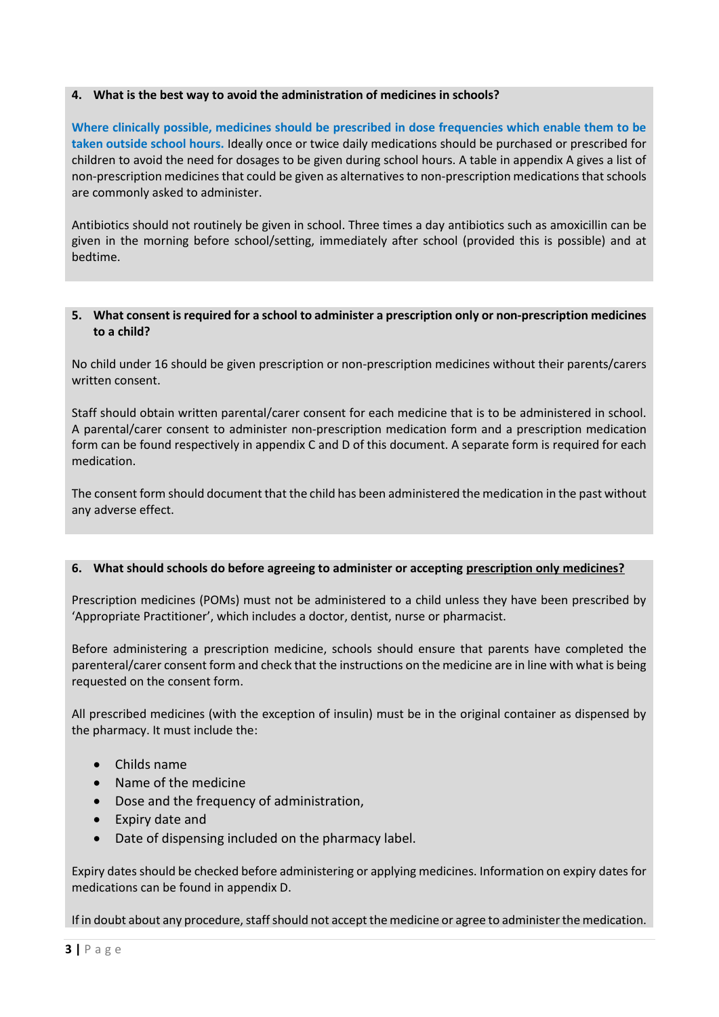## **4. What is the best way to avoid the administration of medicines in schools?**

**Where clinically possible, medicines should be prescribed in dose frequencies which enable them to be taken outside school hours.** Ideally once or twice daily medications should be purchased or prescribed for children to avoid the need for dosages to be given during school hours. A table in appendix A gives a list of non-prescription medicines that could be given as alternatives to non-prescription medications that schools are commonly asked to administer.

Antibiotics should not routinely be given in school. Three times a day antibiotics such as amoxicillin can be given in the morning before school/setting, immediately after school (provided this is possible) and at bedtime.

## **5. What consent is required for a school to administer a prescription only or non-prescription medicines to a child?**

No child under 16 should be given prescription or non-prescription medicines without their parents/carers written consent.

Staff should obtain written parental/carer consent for each medicine that is to be administered in school. A parental/carer consent to administer non-prescription medication form and a prescription medication form can be found respectively in appendix C and D of this document. A separate form is required for each medication.

The consent form should document that the child has been administered the medication in the past without any adverse effect.

### **6. What should schools do before agreeing to administer or accepting prescription only medicines?**

Prescription medicines (POMs) must not be administered to a child unless they have been prescribed by 'Appropriate Practitioner', which includes a doctor, dentist, nurse or pharmacist.

Before administering a prescription medicine, schools should ensure that parents have completed the parenteral/carer consent form and check that the instructions on the medicine are in line with what is being requested on the consent form.

All prescribed medicines (with the exception of insulin) must be in the original container as dispensed by the pharmacy. It must include the:

- Childs name
- Name of the medicine
- Dose and the frequency of administration,
- Expiry date and
- Date of dispensing included on the pharmacy label.

Expiry dates should be checked before administering or applying medicines. Information on expiry dates for medications can be found in appendix D.

If in doubt about any procedure, staff should not accept the medicine or agree to administer the medication.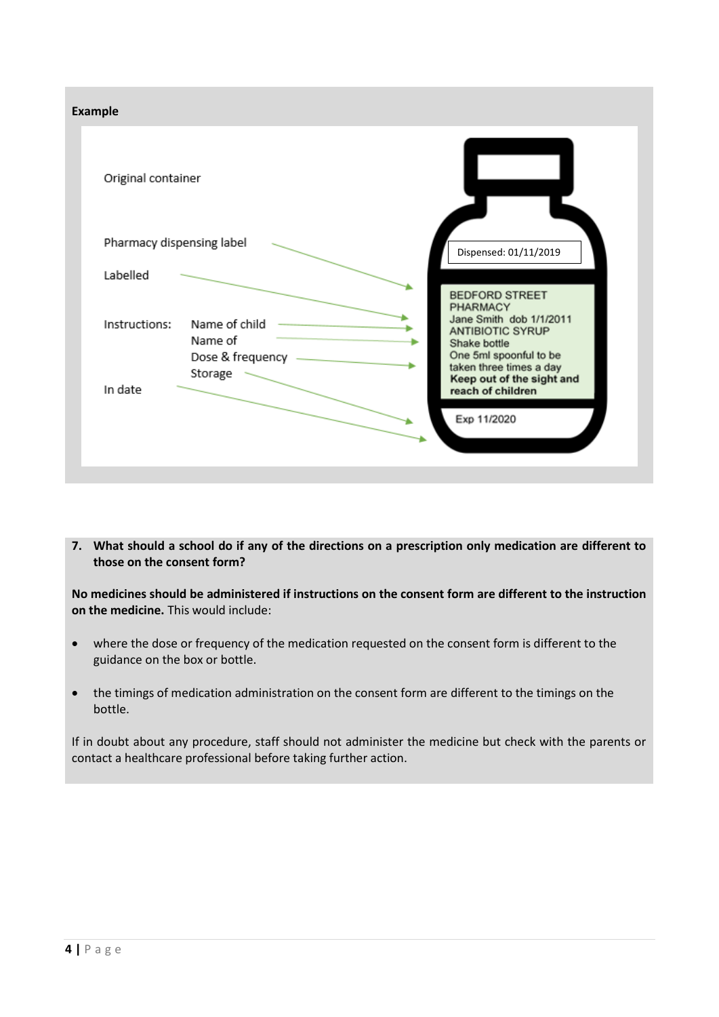

**7. What should a school do if any of the directions on a prescription only medication are different to those on the consent form?**

**No medicines should be administered if instructions on the consent form are different to the instruction on the medicine.** This would include:

- where the dose or frequency of the medication requested on the consent form is different to the guidance on the box or bottle.
- the timings of medication administration on the consent form are different to the timings on the bottle.

If in doubt about any procedure, staff should not administer the medicine but check with the parents or contact a healthcare professional before taking further action.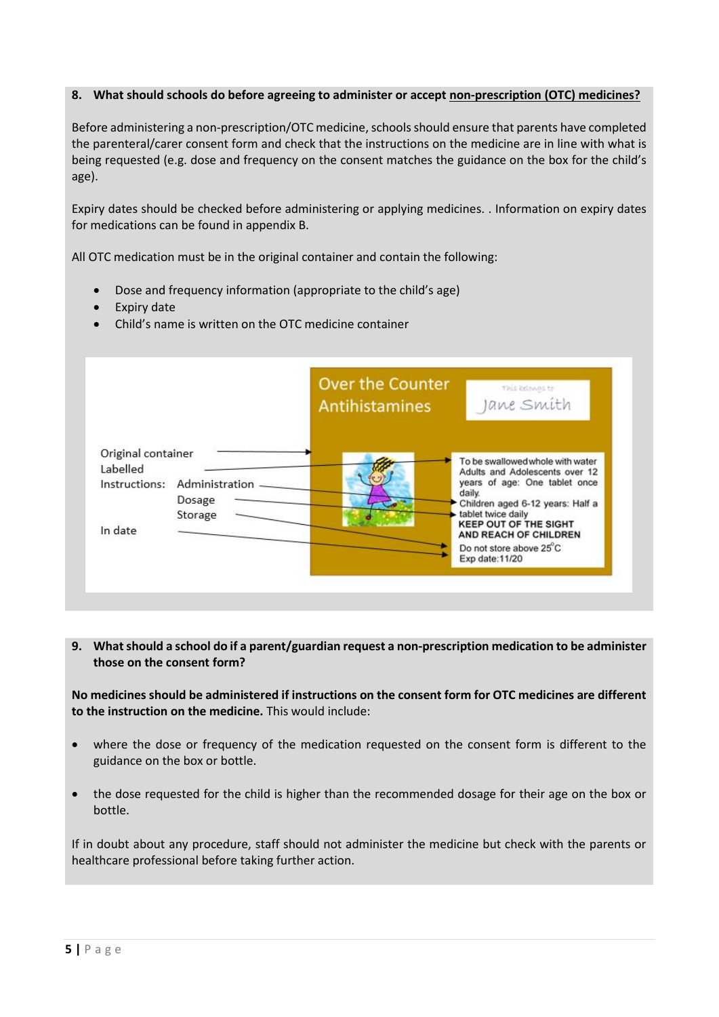## **8. What should schools do before agreeing to administer or accept non-prescription (OTC) medicines?**

Before administering a non-prescription/OTC medicine, schools should ensure that parents have completed the parenteral/carer consent form and check that the instructions on the medicine are in line with what is being requested (e.g. dose and frequency on the consent matches the guidance on the box for the child's age).

Expiry dates should be checked before administering or applying medicines. . Information on expiry dates for medications can be found in appendix B.

All OTC medication must be in the original container and contain the following:

- Dose and frequency information (appropriate to the child's age)
- Expiry date
- Child's name is written on the OTC medicine container



**9. What should a school do if a parent/guardian request a non-prescription medication to be administer those on the consent form?**

**No medicines should be administered if instructions on the consent form for OTC medicines are different to the instruction on the medicine.** This would include:

- where the dose or frequency of the medication requested on the consent form is different to the guidance on the box or bottle.
- the dose requested for the child is higher than the recommended dosage for their age on the box or bottle.

If in doubt about any procedure, staff should not administer the medicine but check with the parents or healthcare professional before taking further action.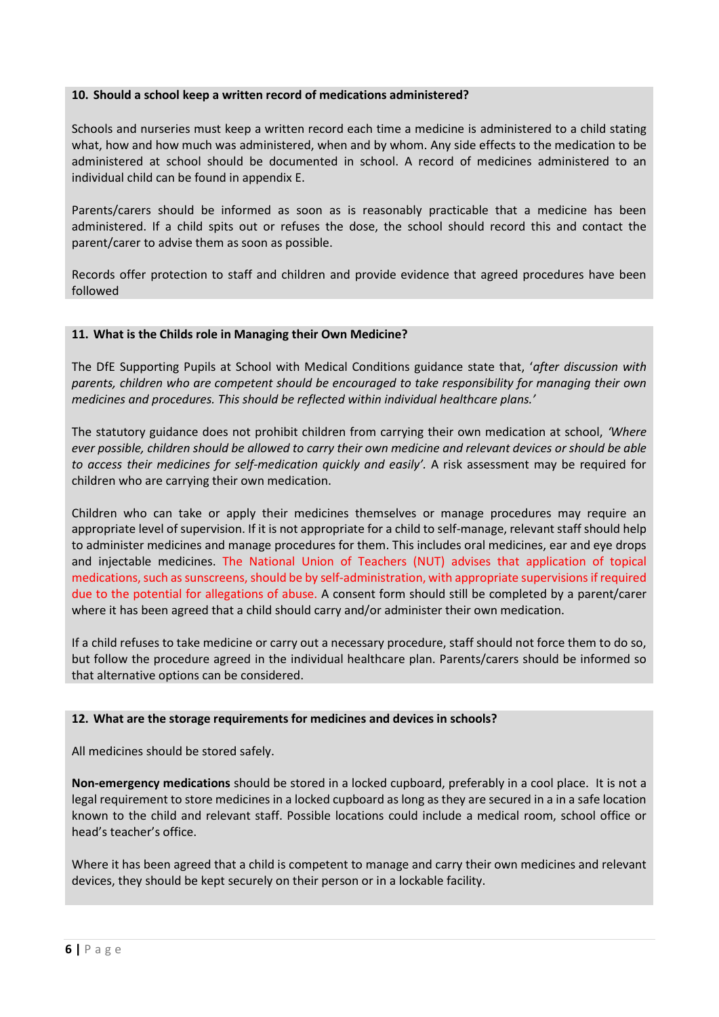### **10. Should a school keep a written record of medications administered?**

Schools and nurseries must keep a written record each time a medicine is administered to a child stating what, how and how much was administered, when and by whom. Any side effects to the medication to be administered at school should be documented in school. A record of medicines administered to an individual child can be found in appendix E.

Parents/carers should be informed as soon as is reasonably practicable that a medicine has been administered. If a child spits out or refuses the dose, the school should record this and contact the parent/carer to advise them as soon as possible.

Records offer protection to staff and children and provide evidence that agreed procedures have been followed

## **11. What is the Childs role in Managing their Own Medicine?**

The DfE Supporting Pupils at School with Medical Conditions guidance state that, '*after discussion with parents, children who are competent should be encouraged to take responsibility for managing their own medicines and procedures. This should be reflected within individual healthcare plans.'*

The statutory guidance does not prohibit children from carrying their own medication at school, *'Where ever possible, children should be allowed to carry their own medicine and relevant devices or should be able to access their medicines for self-medication quickly and easily'.* A risk assessment may be required for children who are carrying their own medication.

Children who can take or apply their medicines themselves or manage procedures may require an appropriate level of supervision. If it is not appropriate for a child to self-manage, relevant staff should help to administer medicines and manage procedures for them. This includes oral medicines, ear and eye drops and injectable medicines. The National Union of Teachers (NUT) advises that application of topical medications, such as sunscreens, should be by self-administration, with appropriate supervisions if required due to the potential for allegations of abuse. A consent form should still be completed by a parent/carer where it has been agreed that a child should carry and/or administer their own medication.

If a child refuses to take medicine or carry out a necessary procedure, staff should not force them to do so, but follow the procedure agreed in the individual healthcare plan. Parents/carers should be informed so that alternative options can be considered.

### **12. What are the storage requirements for medicines and devices in schools?**

All medicines should be stored safely.

**Non-emergency medications** should be stored in a locked cupboard, preferably in a cool place. It is not a legal requirement to store medicines in a locked cupboard as long as they are secured in a in a safe location known to the child and relevant staff. Possible locations could include a medical room, school office or head's teacher's office.

Where it has been agreed that a child is competent to manage and carry their own medicines and relevant devices, they should be kept securely on their person or in a lockable facility.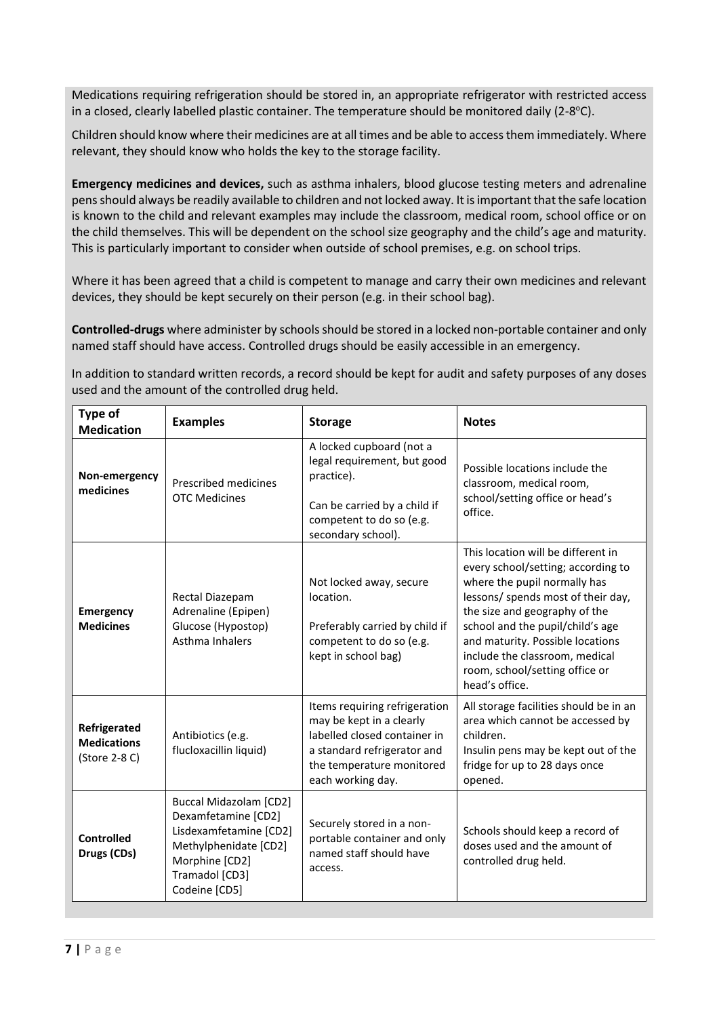Medications requiring refrigeration should be stored in, an appropriate refrigerator with restricted access in a closed, clearly labelled plastic container. The temperature should be monitored daily (2-8°C).

Children should know where their medicines are at all times and be able to access them immediately. Where relevant, they should know who holds the key to the storage facility.

**Emergency medicines and devices,** such as asthma inhalers, blood glucose testing meters and adrenaline pens should always be readily available to children and not locked away. It is important that the safe location is known to the child and relevant examples may include the classroom, medical room, school office or on the child themselves. This will be dependent on the school size geography and the child's age and maturity. This is particularly important to consider when outside of school premises, e.g. on school trips.

Where it has been agreed that a child is competent to manage and carry their own medicines and relevant devices, they should be kept securely on their person (e.g. in their school bag).

**Controlled-drugs** where administer by schools should be stored in a locked non-portable container and only named staff should have access. Controlled drugs should be easily accessible in an emergency.

In addition to standard written records, a record should be kept for audit and safety purposes of any doses used and the amount of the controlled drug held.

| Type of<br><b>Medication</b>                        | <b>Examples</b>                                                                                                                                              | <b>Storage</b>                                                                                                                                                             | <b>Notes</b>                                                                                                                                                                                                                                                                                                                                  |
|-----------------------------------------------------|--------------------------------------------------------------------------------------------------------------------------------------------------------------|----------------------------------------------------------------------------------------------------------------------------------------------------------------------------|-----------------------------------------------------------------------------------------------------------------------------------------------------------------------------------------------------------------------------------------------------------------------------------------------------------------------------------------------|
| Non-emergency<br>medicines                          | Prescribed medicines<br><b>OTC Medicines</b>                                                                                                                 | A locked cupboard (not a<br>legal requirement, but good<br>practice).<br>Can be carried by a child if<br>competent to do so (e.g.<br>secondary school).                    | Possible locations include the<br>classroom, medical room,<br>school/setting office or head's<br>office.                                                                                                                                                                                                                                      |
| <b>Emergency</b><br><b>Medicines</b>                | Rectal Diazepam<br>Adrenaline (Epipen)<br>Glucose (Hypostop)<br>Asthma Inhalers                                                                              | Not locked away, secure<br>location.<br>Preferably carried by child if<br>competent to do so (e.g.<br>kept in school bag)                                                  | This location will be different in<br>every school/setting; according to<br>where the pupil normally has<br>lessons/ spends most of their day,<br>the size and geography of the<br>school and the pupil/child's age<br>and maturity. Possible locations<br>include the classroom, medical<br>room, school/setting office or<br>head's office. |
| Refrigerated<br><b>Medications</b><br>(Store 2-8 C) | Antibiotics (e.g.<br>flucloxacillin liquid)                                                                                                                  | Items requiring refrigeration<br>may be kept in a clearly<br>labelled closed container in<br>a standard refrigerator and<br>the temperature monitored<br>each working day. | All storage facilities should be in an<br>area which cannot be accessed by<br>children.<br>Insulin pens may be kept out of the<br>fridge for up to 28 days once<br>opened.                                                                                                                                                                    |
| <b>Controlled</b><br>Drugs (CDs)                    | <b>Buccal Midazolam [CD2]</b><br>Dexamfetamine [CD2]<br>Lisdexamfetamine [CD2]<br>Methylphenidate [CD2]<br>Morphine [CD2]<br>Tramadol [CD3]<br>Codeine [CD5] | Securely stored in a non-<br>portable container and only<br>named staff should have<br>access.                                                                             | Schools should keep a record of<br>doses used and the amount of<br>controlled drug held.                                                                                                                                                                                                                                                      |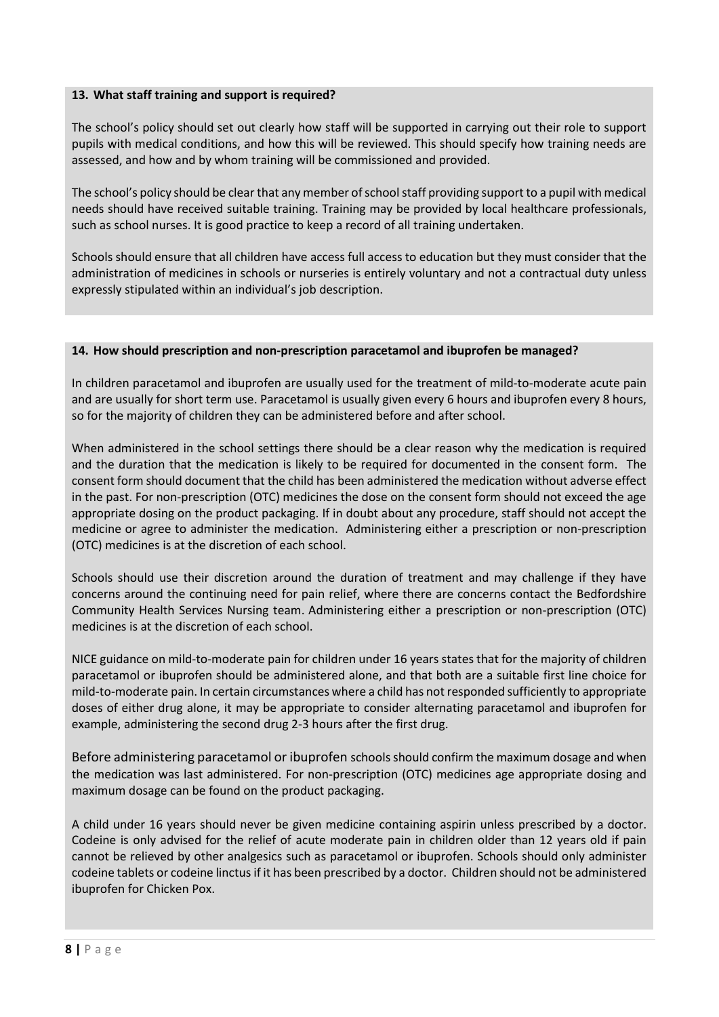## **13. What staff training and support is required?**

The school's policy should set out clearly how staff will be supported in carrying out their role to support pupils with medical conditions, and how this will be reviewed. This should specify how training needs are assessed, and how and by whom training will be commissioned and provided.

The school's policy should be clear that any member of school staff providing support to a pupil with medical needs should have received suitable training. Training may be provided by local healthcare professionals, such as school nurses. It is good practice to keep a record of all training undertaken.

Schools should ensure that all children have access full access to education but they must consider that the administration of medicines in schools or nurseries is entirely voluntary and not a contractual duty unless expressly stipulated within an individual's job description.

### **14. How should prescription and non-prescription paracetamol and ibuprofen be managed?**

In children paracetamol and ibuprofen are usually used for the treatment of mild-to-moderate acute pain and are usually for short term use. Paracetamol is usually given every 6 hours and ibuprofen every 8 hours, so for the majority of children they can be administered before and after school.

When administered in the school settings there should be a clear reason why the medication is required and the duration that the medication is likely to be required for documented in the consent form. The consent form should document that the child has been administered the medication without adverse effect in the past. For non-prescription (OTC) medicines the dose on the consent form should not exceed the age appropriate dosing on the product packaging. If in doubt about any procedure, staff should not accept the medicine or agree to administer the medication. Administering either a prescription or non-prescription (OTC) medicines is at the discretion of each school.

Schools should use their discretion around the duration of treatment and may challenge if they have concerns around the continuing need for pain relief, where there are concerns contact the Bedfordshire Community Health Services Nursing team. Administering either a prescription or non-prescription (OTC) medicines is at the discretion of each school.

NICE guidance on mild-to-moderate pain for children under 16 years states that for the majority of children paracetamol or ibuprofen should be administered alone, and that both are a suitable first line choice for mild-to-moderate pain. In certain circumstances where a child has not responded sufficiently to appropriate doses of either drug alone, it may be appropriate to consider alternating paracetamol and ibuprofen for example, administering the second drug 2-3 hours after the first drug.

Before administering paracetamol or ibuprofen schools should confirm the maximum dosage and when the medication was last administered. For non-prescription (OTC) medicines age appropriate dosing and maximum dosage can be found on the product packaging.

A child under 16 years should never be given medicine containing aspirin unless prescribed by a doctor. Codeine is only advised for the relief of acute moderate pain in children older than 12 years old if pain cannot be relieved by other analgesics such as paracetamol or ibuprofen. Schools should only administer codeine tablets or codeine linctus if it has been prescribed by a doctor. Children should not be administered ibuprofen for Chicken Pox.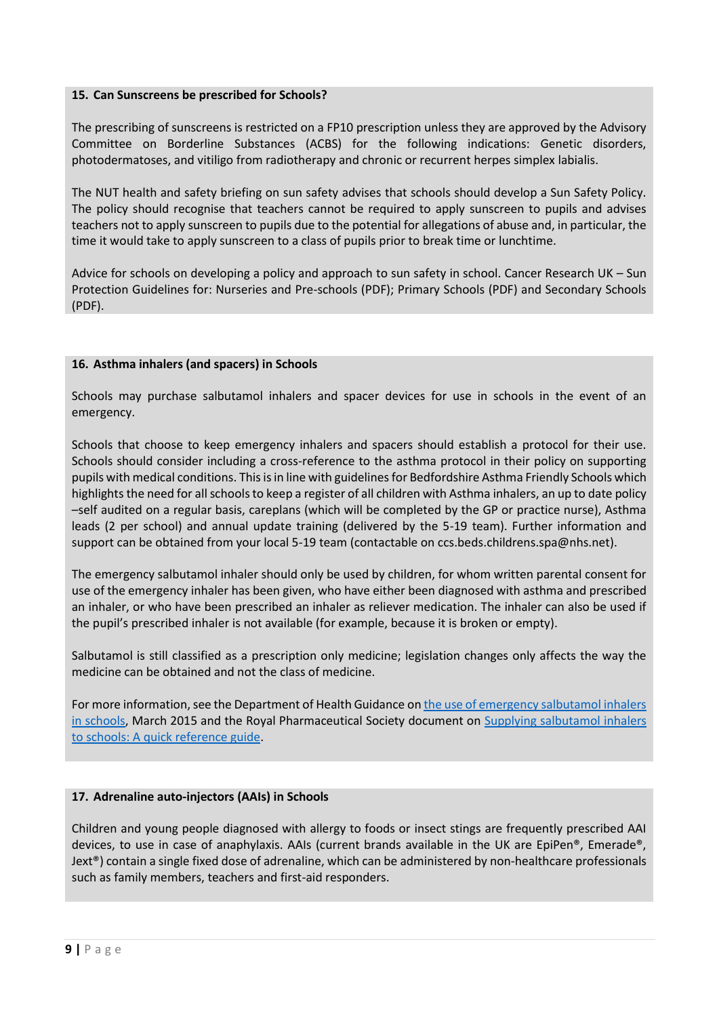### **15. Can Sunscreens be prescribed for Schools?**

The prescribing of sunscreens is restricted on a FP10 prescription unless they are approved by the Advisory Committee on Borderline Substances (ACBS) for the following indications: Genetic disorders, photodermatoses, and vitiligo from radiotherapy and chronic or recurrent herpes simplex labialis.

The NUT health and safety briefing on sun safety advises that schools should develop a Sun Safety Policy. The policy should recognise that teachers cannot be required to apply sunscreen to pupils and advises teachers not to apply sunscreen to pupils due to the potential for allegations of abuse and, in particular, the time it would take to apply sunscreen to a class of pupils prior to break time or lunchtime.

Advice for schools on developing a policy and approach to sun safety in school. Cancer Research UK – Sun Protection Guidelines for: Nurseries and Pre-schools (PDF); Primary Schools (PDF) and Secondary Schools (PDF).

## **16. Asthma inhalers (and spacers) in Schools**

Schools may purchase salbutamol inhalers and spacer devices for use in schools in the event of an emergency.

Schools that choose to keep emergency inhalers and spacers should establish a protocol for their use. Schools should consider including a cross-reference to the asthma protocol in their policy on supporting pupils with medical conditions. This is in line with guidelines for Bedfordshire Asthma Friendly Schools which highlights the need for all schools to keep a register of all children with Asthma inhalers, an up to date policy –self audited on a regular basis, careplans (which will be completed by the GP or practice nurse), Asthma leads (2 per school) and annual update training (delivered by the 5-19 team). Further information and support can be obtained from your local 5-19 team (contactable on ccs.beds.childrens.spa@nhs.net).

The emergency salbutamol inhaler should only be used by children, for whom written parental consent for use of the emergency inhaler has been given, who have either been diagnosed with asthma and prescribed an inhaler, or who have been prescribed an inhaler as reliever medication. The inhaler can also be used if the pupil's prescribed inhaler is not available (for example, because it is broken or empty).

Salbutamol is still classified as a prescription only medicine; legislation changes only affects the way the medicine can be obtained and not the class of medicine.

For more information, see the Department of Health Guidance on the use of emergency salbutamol inhalers [in schools,](https://www.gov.uk/government/publications/emergency-asthma-inhalers-for-use-in-schools) March 2015 and the Royal Pharmaceutical Society document on [Supplying salbutamol inhalers](https://www.rpharms.com/resources/quick-reference-guides/supply-of-salbutamol-inhalers-to-schools)  [to schools: A quick reference guide.](https://www.rpharms.com/resources/quick-reference-guides/supply-of-salbutamol-inhalers-to-schools)

## **17. Adrenaline auto-injectors (AAIs) in Schools**

Children and young people diagnosed with allergy to foods or insect stings are frequently prescribed AAI devices, to use in case of anaphylaxis. AAIs (current brands available in the UK are EpiPen®, Emerade®, Jext®) contain a single fixed dose of adrenaline, which can be administered by non-healthcare professionals such as family members, teachers and first-aid responders.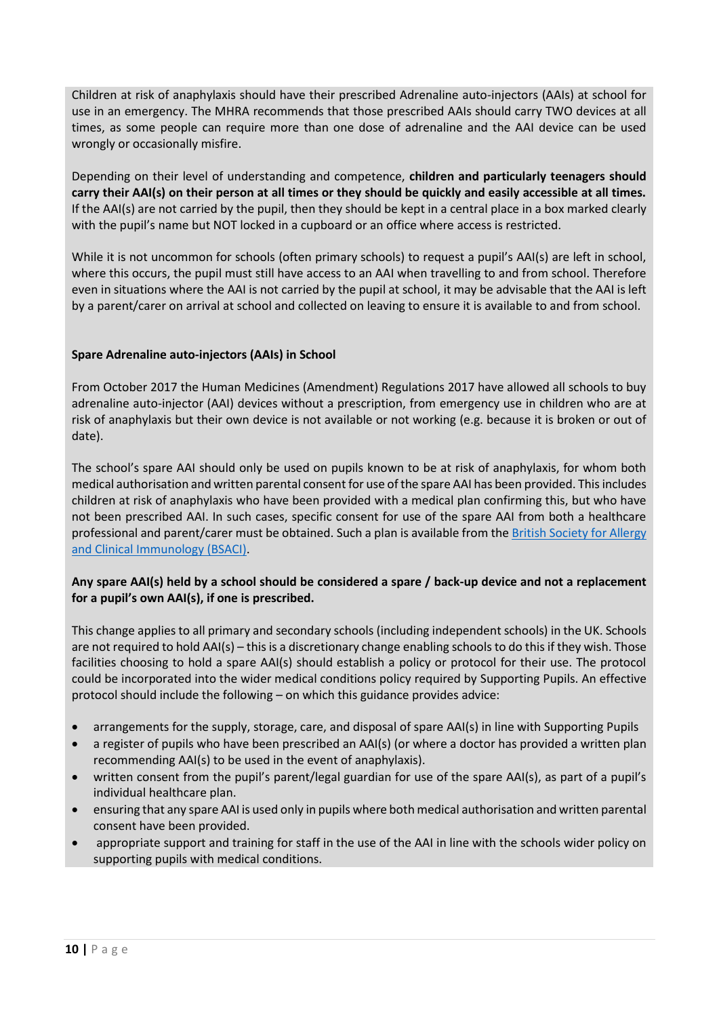Children at risk of anaphylaxis should have their prescribed Adrenaline auto-injectors (AAIs) at school for use in an emergency. The MHRA recommends that those prescribed AAIs should carry TWO devices at all times, as some people can require more than one dose of adrenaline and the AAI device can be used wrongly or occasionally misfire.

Depending on their level of understanding and competence, **children and particularly teenagers should carry their AAI(s) on their person at all times or they should be quickly and easily accessible at all times.** If the AAI(s) are not carried by the pupil, then they should be kept in a central place in a box marked clearly with the pupil's name but NOT locked in a cupboard or an office where access is restricted.

While it is not uncommon for schools (often primary schools) to request a pupil's AAI(s) are left in school, where this occurs, the pupil must still have access to an AAI when travelling to and from school. Therefore even in situations where the AAI is not carried by the pupil at school, it may be advisable that the AAI is left by a parent/carer on arrival at school and collected on leaving to ensure it is available to and from school.

# **Spare Adrenaline auto-injectors (AAIs) in School**

From October 2017 the Human Medicines (Amendment) Regulations 2017 have allowed all schools to buy adrenaline auto-injector (AAI) devices without a prescription, from emergency use in children who are at risk of anaphylaxis but their own device is not available or not working (e.g. because it is broken or out of date).

The school's spare AAI should only be used on pupils known to be at risk of anaphylaxis, for whom both medical authorisation and written parental consent for use of the spare AAI has been provided. This includes children at risk of anaphylaxis who have been provided with a medical plan confirming this, but who have not been prescribed AAI. In such cases, specific consent for use of the spare AAI from both a healthcare professional and parent/carer must be obtained. Such a plan is available from the [British Society for Allergy](https://www.bsaci.org/about/pag-allergy-action-plans-for-children)  [and Clinical Immunology \(BSACI\).](https://www.bsaci.org/about/pag-allergy-action-plans-for-children)

## **Any spare AAI(s) held by a school should be considered a spare / back-up device and not a replacement for a pupil's own AAI(s), if one is prescribed.**

This change applies to all primary and secondary schools (including independent schools) in the UK. Schools are not required to hold AAI(s) – this is a discretionary change enabling schools to do this if they wish. Those facilities choosing to hold a spare AAI(s) should establish a policy or protocol for their use. The protocol could be incorporated into the wider medical conditions policy required by Supporting Pupils. An effective protocol should include the following – on which this guidance provides advice:

- arrangements for the supply, storage, care, and disposal of spare AAI(s) in line with Supporting Pupils
- a register of pupils who have been prescribed an AAI(s) (or where a doctor has provided a written plan recommending AAI(s) to be used in the event of anaphylaxis).
- written consent from the pupil's parent/legal guardian for use of the spare AAI(s), as part of a pupil's individual healthcare plan.
- ensuring that any spare AAI is used only in pupils where both medical authorisation and written parental consent have been provided.
- appropriate support and training for staff in the use of the AAI in line with the schools wider policy on supporting pupils with medical conditions.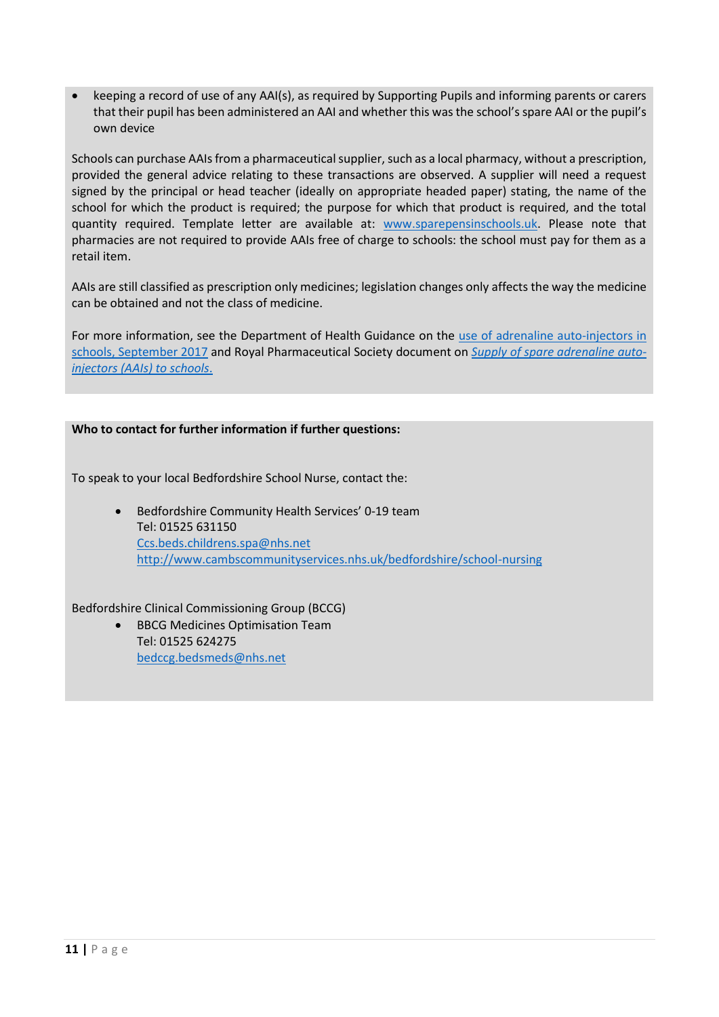keeping a record of use of any AAI(s), as required by Supporting Pupils and informing parents or carers that their pupil has been administered an AAI and whether this was the school's spare AAI or the pupil's own device

Schools can purchase AAIs from a pharmaceutical supplier, such as a local pharmacy, without a prescription, provided the general advice relating to these transactions are observed. A supplier will need a request signed by the principal or head teacher (ideally on appropriate headed paper) stating, the name of the school for which the product is required; the purpose for which that product is required, and the total quantity required. Template letter are available at: [www.sparepensinschools.uk.](http://www.sparepensinschools.uk/) Please note that pharmacies are not required to provide AAIs free of charge to schools: the school must pay for them as a retail item.

AAIs are still classified as prescription only medicines; legislation changes only affects the way the medicine can be obtained and not the class of medicine.

For more information, see the Department of Health Guidance on the use of adrenaline auto-injectors in [schools, September 2017](https://assets.publishing.service.gov.uk/government/uploads/system/uploads/attachment_data/file/645476/Adrenaline_auto_injectors_in_schools.pdf) and Royal Pharmaceutical Society document on *[Supply of spare adrenaline auto](https://www.rpharms.com/resources/quick-reference-guides/supply-of-spare-adrenaline-auto-injectors-aais)[injectors \(AAIs\) to schools](https://www.rpharms.com/resources/quick-reference-guides/supply-of-spare-adrenaline-auto-injectors-aais)*.

## **Who to contact for further information if further questions:**

To speak to your local Bedfordshire School Nurse, contact the:

 Bedfordshire Community Health Services' 0-19 team Tel: 01525 631150 [Ccs.beds.childrens.spa@nhs.net](mailto:Ccs.beds.childrens.spa@nhs.net) <http://www.cambscommunityservices.nhs.uk/bedfordshire/school-nursing>

Bedfordshire Clinical Commissioning Group (BCCG)

 BBCG Medicines Optimisation Team Tel: 01525 624275 [bedccg.bedsmeds@nhs.net](mailto:bedccg.bedsmeds@nhs.net)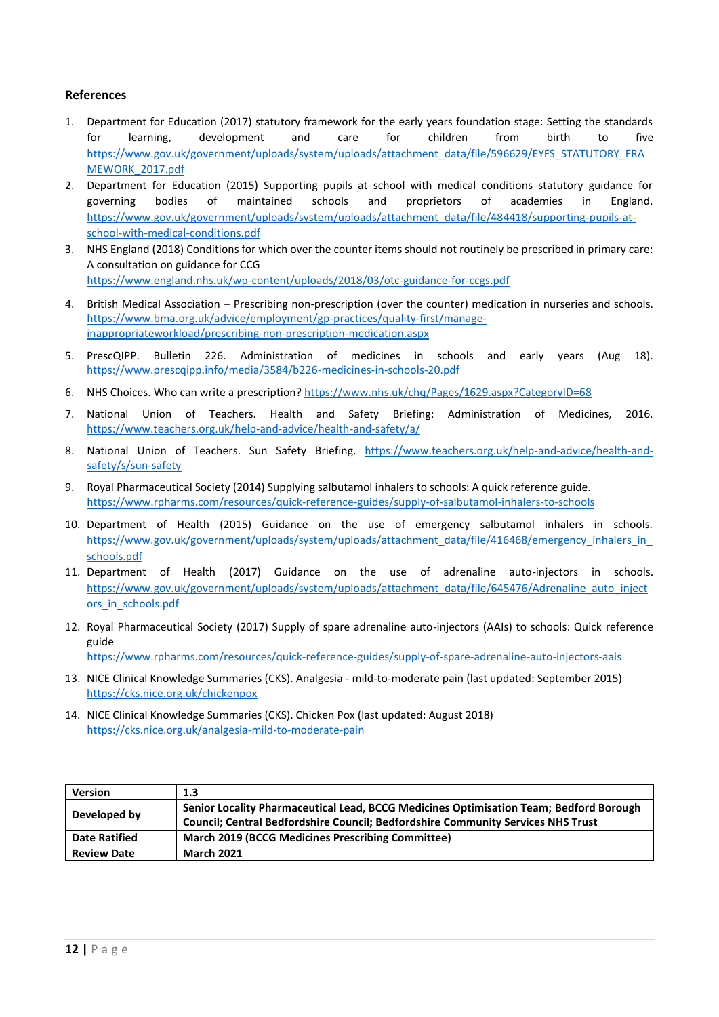### **References**

- 1. Department for Education (2017) statutory framework for the early years foundation stage: Setting the standards for learning, development and care for children from birth to five [https://www.gov.uk/government/uploads/system/uploads/attachment\\_data/file/596629/EYFS\\_STATUTORY\\_FRA](https://www.gov.uk/government/uploads/system/uploads/attachment_data/file/596629/EYFS_STATUTORY_FRAMEWORK_2017.pdf) [MEWORK\\_2017.pdf](https://www.gov.uk/government/uploads/system/uploads/attachment_data/file/596629/EYFS_STATUTORY_FRAMEWORK_2017.pdf)
- 2. Department for Education (2015) Supporting pupils at school with medical conditions statutory guidance for governing bodies of maintained schools and proprietors of academies in England. [https://www.gov.uk/government/uploads/system/uploads/attachment\\_data/file/484418/supporting-pupils-at](https://www.gov.uk/government/uploads/system/uploads/attachment_data/file/484418/supporting-pupils-at-school-with-medical-conditions.pdf)[school-with-medical-conditions.pdf](https://www.gov.uk/government/uploads/system/uploads/attachment_data/file/484418/supporting-pupils-at-school-with-medical-conditions.pdf)
- 3. NHS England (2018) Conditions for which over the counter items should not routinely be prescribed in primary care: A consultation on guidance for CCG <https://www.england.nhs.uk/wp-content/uploads/2018/03/otc-guidance-for-ccgs.pdf>
- 4. British Medical Association Prescribing non-prescription (over the counter) medication in nurseries and schools. [https://www.bma.org.uk/advice/employment/gp-practices/quality-first/manage](https://www.bma.org.uk/advice/employment/gp-practices/quality-first/manage-inappropriateworkload/prescribing-non-prescription-medication.aspx)[inappropriateworkload/prescribing-non-prescription-medication.aspx](https://www.bma.org.uk/advice/employment/gp-practices/quality-first/manage-inappropriateworkload/prescribing-non-prescription-medication.aspx)
- 5. PrescQIPP. Bulletin 226. Administration of medicines in schools and early years (Aug 18). <https://www.prescqipp.info/media/3584/b226-medicines-in-schools-20.pdf>
- 6. NHS Choices. Who can write a prescription? <https://www.nhs.uk/chq/Pages/1629.aspx?CategoryID=68>
- 7. National Union of Teachers. Health and Safety Briefing: Administration of Medicines, 2016. <https://www.teachers.org.uk/help-and-advice/health-and-safety/a/>
- 8. National Union of Teachers. Sun Safety Briefing. [https://www.teachers.org.uk/help-and-advice/health-and](https://www.teachers.org.uk/help-and-advice/health-and-safety/s/sun-safety)[safety/s/sun-safety](https://www.teachers.org.uk/help-and-advice/health-and-safety/s/sun-safety)
- 9. Royal Pharmaceutical Society (2014) Supplying salbutamol inhalers to schools: A quick reference guide. <https://www.rpharms.com/resources/quick-reference-guides/supply-of-salbutamol-inhalers-to-schools>
- 10. Department of Health (2015) Guidance on the use of emergency salbutamol inhalers in schools. https://www.gov.uk/government/uploads/system/uploads/attachment\_data/file/416468/emergency\_inhalers\_in [schools.pdf](https://www.gov.uk/government/uploads/system/uploads/attachment_data/file/416468/emergency_inhalers_in_schools.pdf)
- 11. Department of Health (2017) Guidance on the use of adrenaline auto-injectors in schools. [https://www.gov.uk/government/uploads/system/uploads/attachment\\_data/file/645476/Adrenaline\\_auto\\_inject](https://www.gov.uk/government/uploads/system/uploads/attachment_data/file/645476/Adrenaline_auto_injectors_in_schools.pdf) [ors\\_in\\_schools.pdf](https://www.gov.uk/government/uploads/system/uploads/attachment_data/file/645476/Adrenaline_auto_injectors_in_schools.pdf)
- 12. Royal Pharmaceutical Society (2017) Supply of spare adrenaline auto-injectors (AAIs) to schools: Quick reference guide <https://www.rpharms.com/resources/quick-reference-guides/supply-of-spare-adrenaline-auto-injectors-aais>

- 13. NICE Clinical Knowledge Summaries (CKS). Analgesia mild-to-moderate pain (last updated: September 2015) <https://cks.nice.org.uk/chickenpox>
- 14. NICE Clinical Knowledge Summaries (CKS). Chicken Pox (last updated: August 2018) <https://cks.nice.org.uk/analgesia-mild-to-moderate-pain>

| <b>Version</b>       | 1.3                                                                                                                                                                        |
|----------------------|----------------------------------------------------------------------------------------------------------------------------------------------------------------------------|
| Developed by         | Senior Locality Pharmaceutical Lead, BCCG Medicines Optimisation Team; Bedford Borough<br>Council; Central Bedfordshire Council; Bedfordshire Community Services NHS Trust |
| <b>Date Ratified</b> | <b>March 2019 (BCCG Medicines Prescribing Committee)</b>                                                                                                                   |
| <b>Review Date</b>   | <b>March 2021</b>                                                                                                                                                          |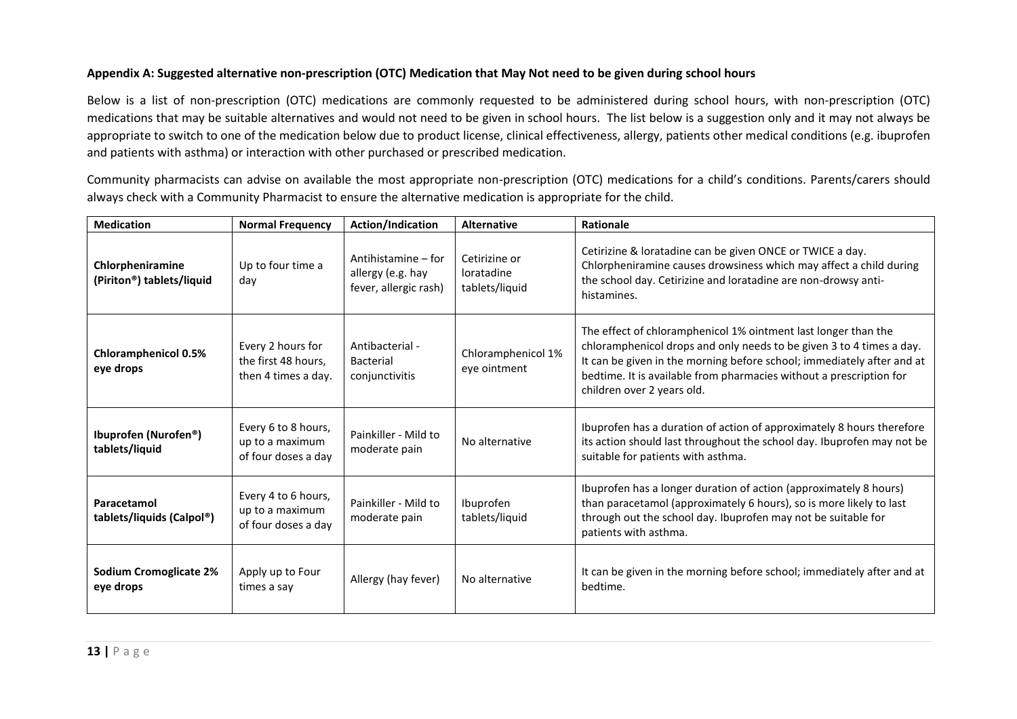## **Appendix A: Suggested alternative non-prescription (OTC) Medication that May Not need to be given during school hours**

Below is a list of non-prescription (OTC) medications are commonly requested to be administered during school hours, with non-prescription (OTC) medications that may be suitable alternatives and would not need to be given in school hours. The list below is a suggestion only and it may not always be appropriate to switch to one of the medication below due to product license, clinical effectiveness, allergy, patients other medical conditions (e.g. ibuprofen and patients with asthma) or interaction with other purchased or prescribed medication.

Community pharmacists can advise on available the most appropriate non-prescription (OTC) medications for a child's conditions. Parents/carers should always check with a Community Pharmacist to ensure the alternative medication is appropriate for the child.

| <b>Medication</b>                                          | <b>Normal Frequency</b>                                         | Action/Indication                                                 | <b>Alternative</b>                            | Rationale                                                                                                                                                                                                                                                                                                             |
|------------------------------------------------------------|-----------------------------------------------------------------|-------------------------------------------------------------------|-----------------------------------------------|-----------------------------------------------------------------------------------------------------------------------------------------------------------------------------------------------------------------------------------------------------------------------------------------------------------------------|
| Chlorpheniramine<br>(Piriton <sup>®</sup> ) tablets/liquid | Up to four time a<br>day                                        | Antihistamine – for<br>allergy (e.g. hay<br>fever, allergic rash) | Cetirizine or<br>loratadine<br>tablets/liquid | Cetirizine & loratadine can be given ONCE or TWICE a day.<br>Chlorpheniramine causes drowsiness which may affect a child during<br>the school day. Cetirizine and loratadine are non-drowsy anti-<br>histamines.                                                                                                      |
| <b>Chloramphenicol 0.5%</b><br>eye drops                   | Every 2 hours for<br>the first 48 hours,<br>then 4 times a day. | Antibacterial -<br>Bacterial<br>conjunctivitis                    | Chloramphenicol 1%<br>eye ointment            | The effect of chloramphenicol 1% ointment last longer than the<br>chloramphenicol drops and only needs to be given 3 to 4 times a day.<br>It can be given in the morning before school; immediately after and at<br>bedtime. It is available from pharmacies without a prescription for<br>children over 2 years old. |
| Ibuprofen (Nurofen <sup>®</sup> )<br>tablets/liquid        | Every 6 to 8 hours,<br>up to a maximum<br>of four doses a day   | Painkiller - Mild to<br>moderate pain                             | No alternative                                | Ibuprofen has a duration of action of approximately 8 hours therefore<br>its action should last throughout the school day. Ibuprofen may not be<br>suitable for patients with asthma.                                                                                                                                 |
| Paracetamol<br>tablets/liquids (Calpol®)                   | Every 4 to 6 hours,<br>up to a maximum<br>of four doses a day   | Painkiller - Mild to<br>moderate pain                             | Ibuprofen<br>tablets/liquid                   | Ibuprofen has a longer duration of action (approximately 8 hours)<br>than paracetamol (approximately 6 hours), so is more likely to last<br>through out the school day. Ibuprofen may not be suitable for<br>patients with asthma.                                                                                    |
| <b>Sodium Cromoglicate 2%</b><br>eye drops                 | Apply up to Four<br>times a say                                 | Allergy (hay fever)                                               | No alternative                                | It can be given in the morning before school; immediately after and at<br>bedtime.                                                                                                                                                                                                                                    |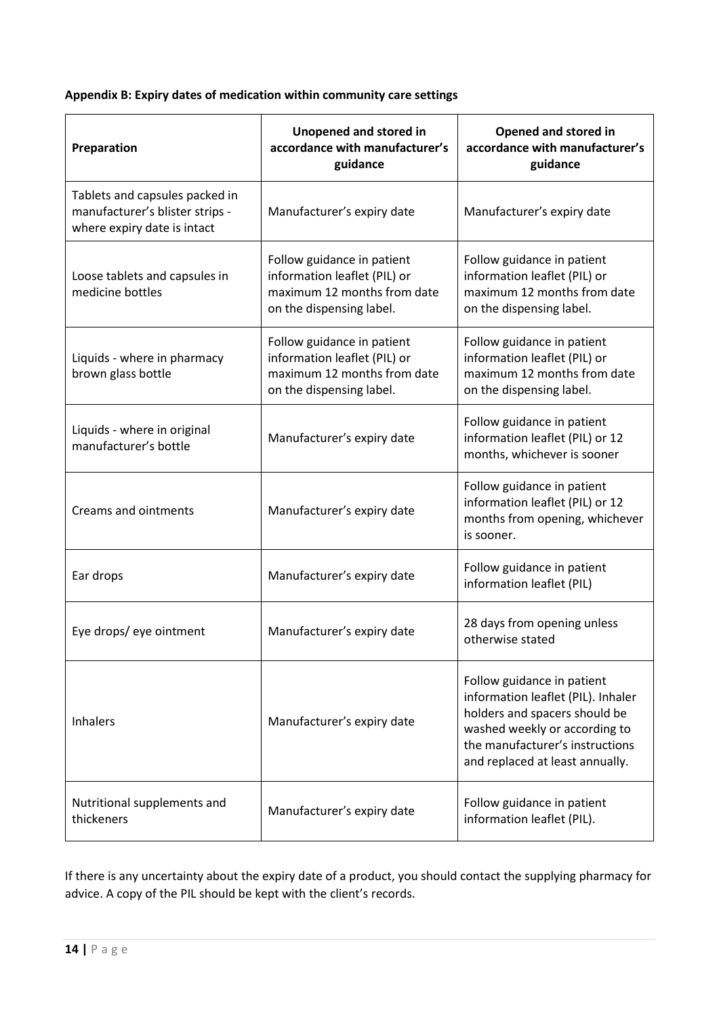**Appendix B: Expiry dates of medication within community care settings**

| Preparation                                                                                      | <b>Unopened and stored in</b><br>accordance with manufacturer's<br>guidance                                           | <b>Opened and stored in</b><br>accordance with manufacturer's<br>guidance                                                                                                                                |
|--------------------------------------------------------------------------------------------------|-----------------------------------------------------------------------------------------------------------------------|----------------------------------------------------------------------------------------------------------------------------------------------------------------------------------------------------------|
| Tablets and capsules packed in<br>manufacturer's blister strips -<br>where expiry date is intact | Manufacturer's expiry date                                                                                            | Manufacturer's expiry date                                                                                                                                                                               |
| Loose tablets and capsules in<br>medicine bottles                                                | Follow guidance in patient<br>information leaflet (PIL) or<br>maximum 12 months from date<br>on the dispensing label. | Follow guidance in patient<br>information leaflet (PIL) or<br>maximum 12 months from date<br>on the dispensing label.                                                                                    |
| Liquids - where in pharmacy<br>brown glass bottle                                                | Follow guidance in patient<br>information leaflet (PIL) or<br>maximum 12 months from date<br>on the dispensing label. | Follow guidance in patient<br>information leaflet (PIL) or<br>maximum 12 months from date<br>on the dispensing label.                                                                                    |
| Liquids - where in original<br>manufacturer's bottle                                             | Manufacturer's expiry date                                                                                            | Follow guidance in patient<br>information leaflet (PIL) or 12<br>months, whichever is sooner                                                                                                             |
| <b>Creams and ointments</b>                                                                      | Manufacturer's expiry date                                                                                            | Follow guidance in patient<br>information leaflet (PIL) or 12<br>months from opening, whichever<br>is sooner.                                                                                            |
| Ear drops                                                                                        | Manufacturer's expiry date                                                                                            | Follow guidance in patient<br>information leaflet (PIL)                                                                                                                                                  |
| Eye drops/ eye ointment                                                                          | Manufacturer's expiry date                                                                                            | 28 days from opening unless<br>otherwise stated                                                                                                                                                          |
| <b>Inhalers</b>                                                                                  | Manufacturer's expiry date                                                                                            | Follow guidance in patient<br>information leaflet (PIL). Inhaler<br>holders and spacers should be<br>washed weekly or according to<br>the manufacturer's instructions<br>and replaced at least annually. |
| Nutritional supplements and<br>thickeners                                                        | Manufacturer's expiry date                                                                                            | Follow guidance in patient<br>information leaflet (PIL).                                                                                                                                                 |

If there is any uncertainty about the expiry date of a product, you should contact the supplying pharmacy for advice. A copy of the PIL should be kept with the client's records.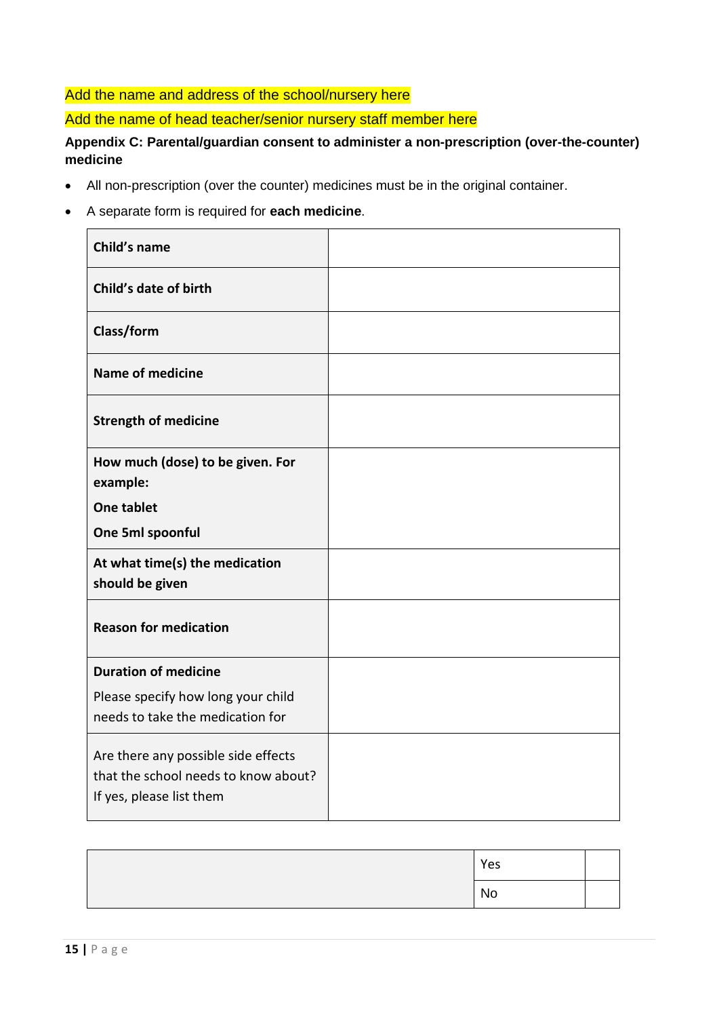# Add the name and address of the school/nursery here

# Add the name of head teacher/senior nursery staff member here

# **Appendix C: Parental/guardian consent to administer a non-prescription (over-the-counter) medicine**

- All non-prescription (over the counter) medicines must be in the original container.
- A separate form is required for **each medicine**.

| Child's name                                                                                            |  |
|---------------------------------------------------------------------------------------------------------|--|
| Child's date of birth                                                                                   |  |
| Class/form                                                                                              |  |
| <b>Name of medicine</b>                                                                                 |  |
| <b>Strength of medicine</b>                                                                             |  |
| How much (dose) to be given. For<br>example:                                                            |  |
| <b>One tablet</b>                                                                                       |  |
| One 5ml spoonful                                                                                        |  |
| At what time(s) the medication<br>should be given                                                       |  |
| <b>Reason for medication</b>                                                                            |  |
| <b>Duration of medicine</b>                                                                             |  |
| Please specify how long your child<br>needs to take the medication for                                  |  |
| Are there any possible side effects<br>that the school needs to know about?<br>If yes, please list them |  |

| Yes       |  |
|-----------|--|
| <b>No</b> |  |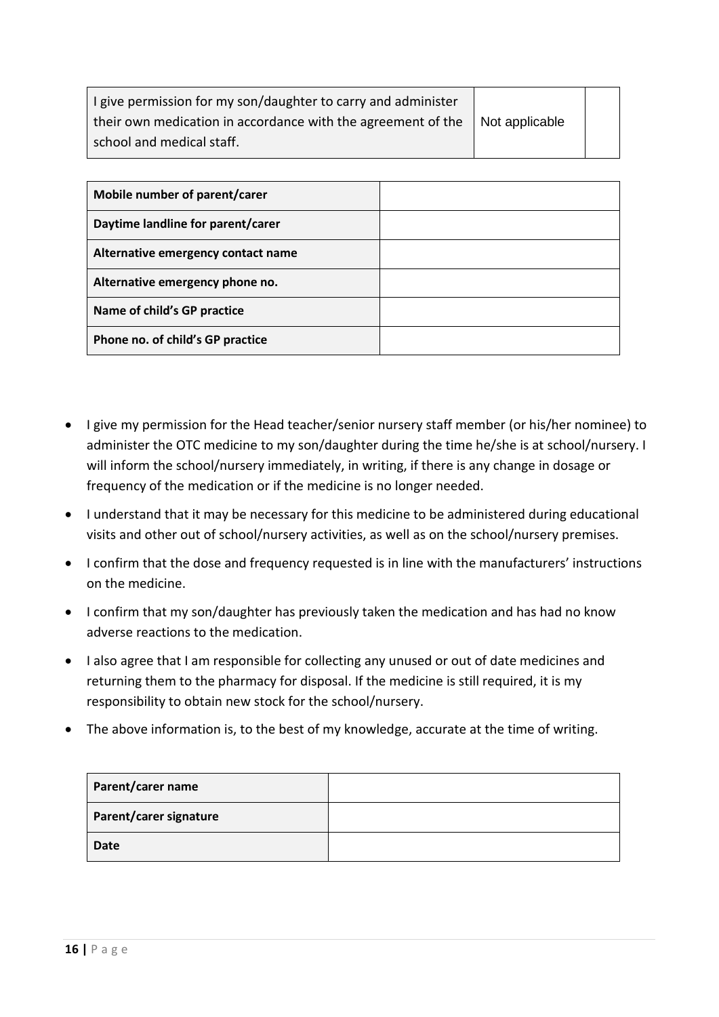| I give permission for my son/daughter to carry and administer                           |  |
|-----------------------------------------------------------------------------------------|--|
| their own medication in accordance with the agreement of the $\parallel$ Not applicable |  |
| school and medical staff.                                                               |  |

| Mobile number of parent/carer      |  |
|------------------------------------|--|
| Daytime landline for parent/carer  |  |
| Alternative emergency contact name |  |
| Alternative emergency phone no.    |  |
| Name of child's GP practice        |  |
| Phone no. of child's GP practice   |  |

- I give my permission for the Head teacher/senior nursery staff member (or his/her nominee) to administer the OTC medicine to my son/daughter during the time he/she is at school/nursery. I will inform the school/nursery immediately, in writing, if there is any change in dosage or frequency of the medication or if the medicine is no longer needed.
- I understand that it may be necessary for this medicine to be administered during educational visits and other out of school/nursery activities, as well as on the school/nursery premises.
- I confirm that the dose and frequency requested is in line with the manufacturers' instructions on the medicine.
- I confirm that my son/daughter has previously taken the medication and has had no know adverse reactions to the medication.
- I also agree that I am responsible for collecting any unused or out of date medicines and returning them to the pharmacy for disposal. If the medicine is still required, it is my responsibility to obtain new stock for the school/nursery.
- The above information is, to the best of my knowledge, accurate at the time of writing.

| Parent/carer name      |  |
|------------------------|--|
| Parent/carer signature |  |
| <b>Date</b>            |  |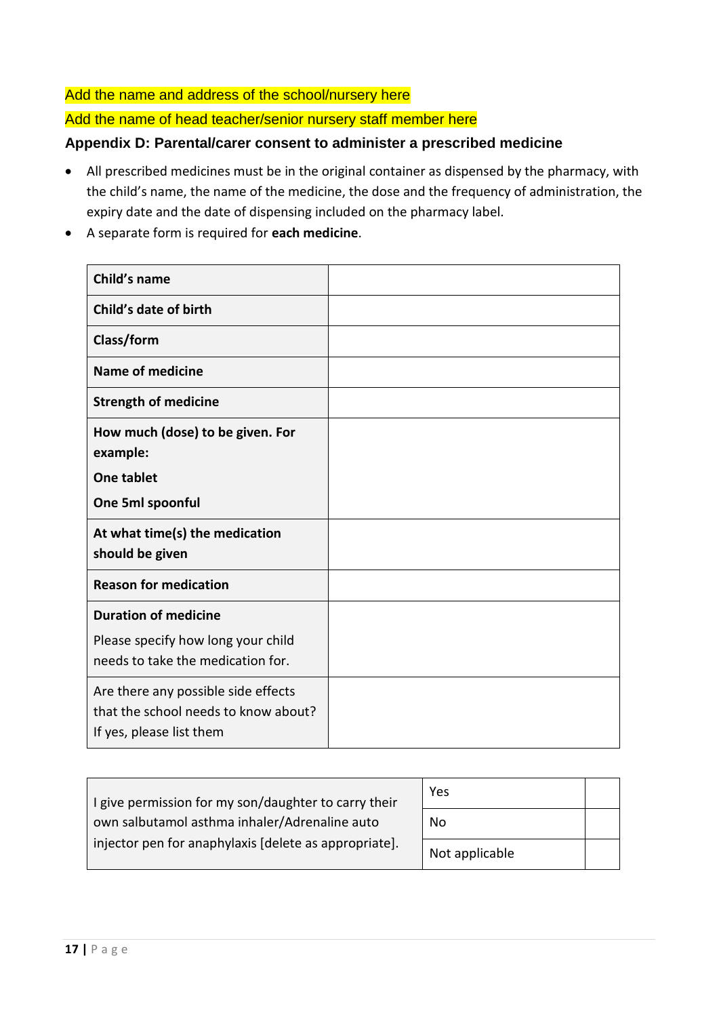Add the name and address of the school/nursery here

Add the name of head teacher/senior nursery staff member here

# **Appendix D: Parental/carer consent to administer a prescribed medicine**

- All prescribed medicines must be in the original container as dispensed by the pharmacy, with the child's name, the name of the medicine, the dose and the frequency of administration, the expiry date and the date of dispensing included on the pharmacy label.
- A separate form is required for **each medicine**.

| Child's name                                                                                            |  |
|---------------------------------------------------------------------------------------------------------|--|
| Child's date of birth                                                                                   |  |
| Class/form                                                                                              |  |
| <b>Name of medicine</b>                                                                                 |  |
| <b>Strength of medicine</b>                                                                             |  |
| How much (dose) to be given. For<br>example:                                                            |  |
| <b>One tablet</b>                                                                                       |  |
| One 5ml spoonful                                                                                        |  |
| At what time(s) the medication<br>should be given                                                       |  |
| <b>Reason for medication</b>                                                                            |  |
| <b>Duration of medicine</b>                                                                             |  |
| Please specify how long your child<br>needs to take the medication for.                                 |  |
| Are there any possible side effects<br>that the school needs to know about?<br>If yes, please list them |  |

| I give permission for my son/daughter to carry their  | Yes            |  |
|-------------------------------------------------------|----------------|--|
| own salbutamol asthma inhaler/Adrenaline auto         | No             |  |
| injector pen for anaphylaxis [delete as appropriate]. | Not applicable |  |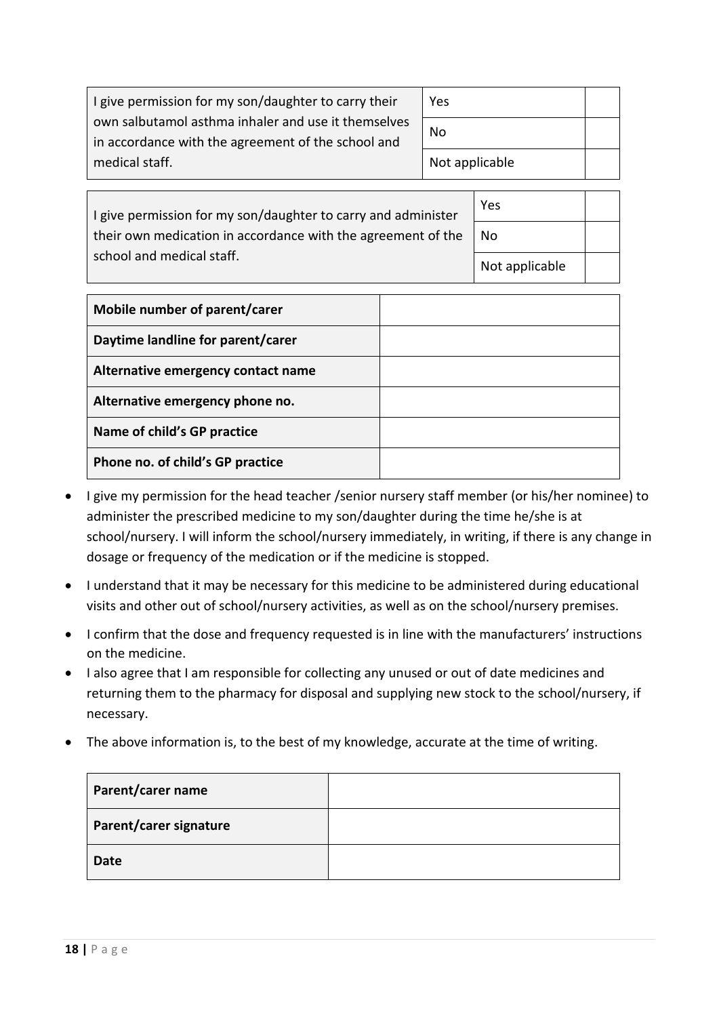| I give permission for my son/daughter to carry their                                                      | Yes            |  |
|-----------------------------------------------------------------------------------------------------------|----------------|--|
| own salbutamol asthma inhaler and use it themselves<br>in accordance with the agreement of the school and | No             |  |
| medical staff.                                                                                            | Not applicable |  |

Yes

No

Not applicable

I give permission for my son/daughter to carry and administer their own medication in accordance with the agreement of the school and medical staff.

| Mobile number of parent/carer      |  |
|------------------------------------|--|
| Daytime landline for parent/carer  |  |
| Alternative emergency contact name |  |
| Alternative emergency phone no.    |  |
| Name of child's GP practice        |  |
| Phone no. of child's GP practice   |  |

- I give my permission for the head teacher / senior nursery staff member (or his/her nominee) to administer the prescribed medicine to my son/daughter during the time he/she is at school/nursery. I will inform the school/nursery immediately, in writing, if there is any change in dosage or frequency of the medication or if the medicine is stopped.
- I understand that it may be necessary for this medicine to be administered during educational visits and other out of school/nursery activities, as well as on the school/nursery premises.
- I confirm that the dose and frequency requested is in line with the manufacturers' instructions on the medicine.
- I also agree that I am responsible for collecting any unused or out of date medicines and returning them to the pharmacy for disposal and supplying new stock to the school/nursery, if necessary.
- The above information is, to the best of my knowledge, accurate at the time of writing.

| Parent/carer name      |  |
|------------------------|--|
| Parent/carer signature |  |
| <b>Date</b>            |  |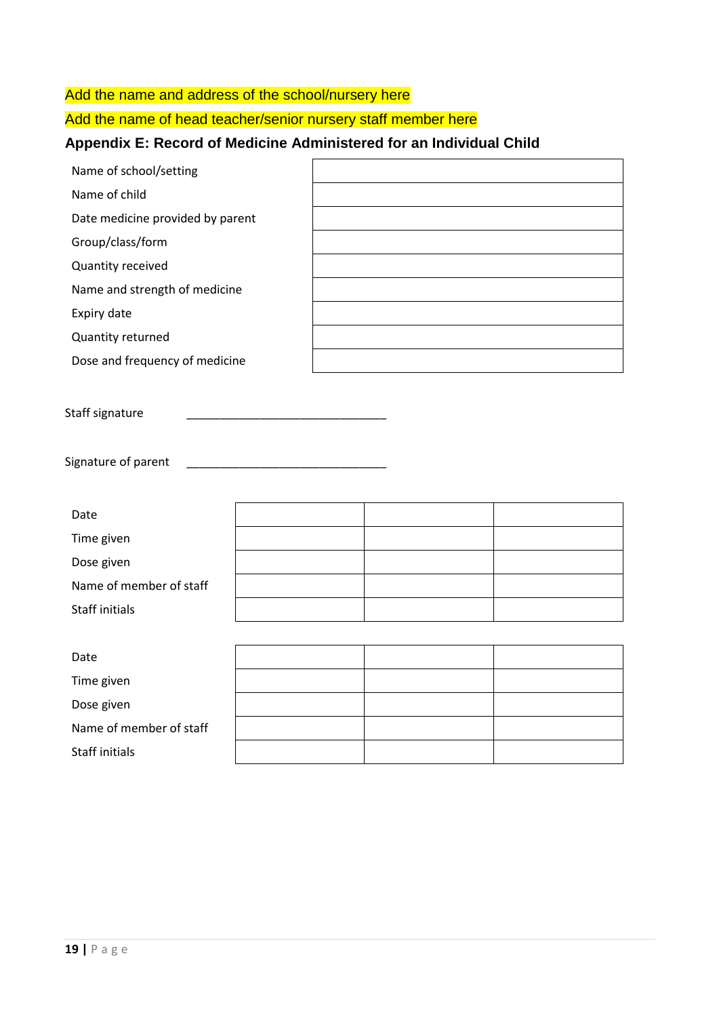# Add the name and address of the school/nursery here

Add the name of head teacher/senior nursery staff member here

# **Appendix E: Record of Medicine Administered for an Individual Child**

| Name of school/setting           |  |
|----------------------------------|--|
| Name of child                    |  |
| Date medicine provided by parent |  |
| Group/class/form                 |  |
| Quantity received                |  |
| Name and strength of medicine    |  |
| Expiry date                      |  |
| Quantity returned                |  |
| Dose and frequency of medicine   |  |

Staff signature

Signature of parent

| Date                    |  |  |
|-------------------------|--|--|
| Time given              |  |  |
| Dose given              |  |  |
| Name of member of staff |  |  |
| Staff initials          |  |  |
|                         |  |  |
| Date                    |  |  |
| Time given              |  |  |
|                         |  |  |

Dose given Name of member of staff

Staff initials

**19 |** P a g e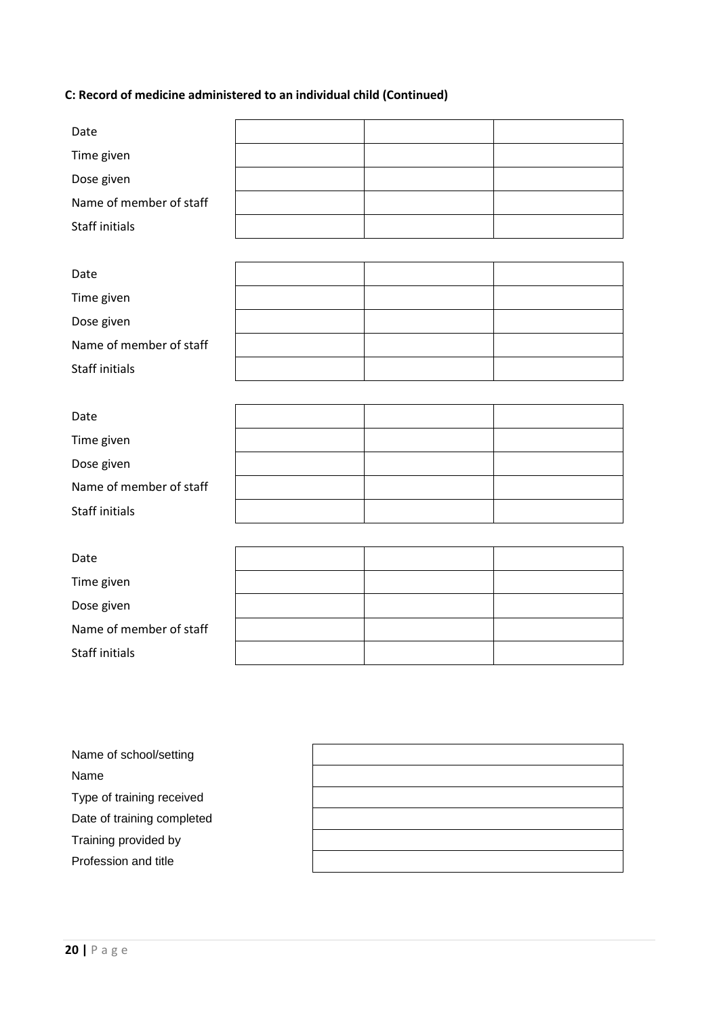# **C: Record of medicine administered to an individual child (Continued)**

| Date                    |  |  |
|-------------------------|--|--|
| Time given              |  |  |
| Dose given              |  |  |
| Name of member of staff |  |  |
| <b>Staff initials</b>   |  |  |
|                         |  |  |
| Date                    |  |  |
| Time given              |  |  |
| Dose given              |  |  |
| Name of member of staff |  |  |
| <b>Staff initials</b>   |  |  |
|                         |  |  |
| Date                    |  |  |
| Time given              |  |  |
| Dose given              |  |  |
| Name of member of staff |  |  |
| <b>Staff initials</b>   |  |  |
|                         |  |  |
| Date                    |  |  |
| Time given              |  |  |
| Dose given              |  |  |
| Name of member of staff |  |  |
| <b>Staff initials</b>   |  |  |
|                         |  |  |

| Name of school/setting     |  |
|----------------------------|--|
| Name                       |  |
| Type of training received  |  |
| Date of training completed |  |
| Training provided by       |  |
| Profession and title       |  |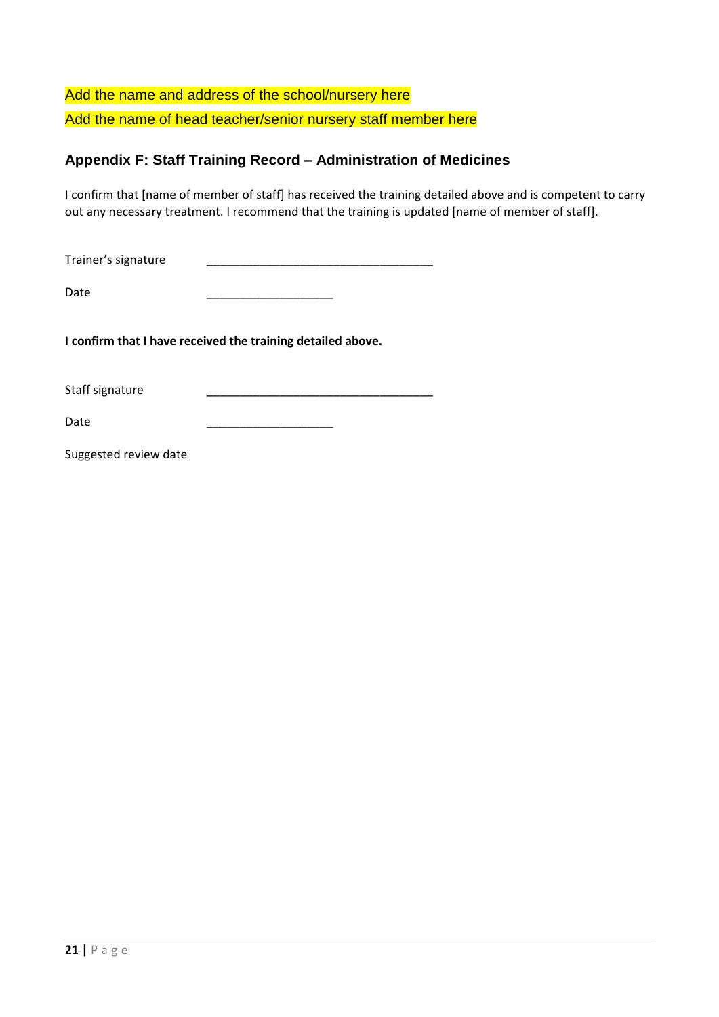Add the name and address of the school/nursery here Add the name of head teacher/senior nursery staff member here

# **Appendix F: Staff Training Record – Administration of Medicines**

I confirm that [name of member of staff] has received the training detailed above and is competent to carry out any necessary treatment. I recommend that the training is updated [name of member of staff].

Trainer's signature \_\_\_\_\_\_\_\_\_\_\_\_\_\_\_\_\_\_\_\_\_\_\_\_\_\_\_\_\_\_\_\_\_\_

Date \_\_\_\_\_\_\_\_\_\_\_\_\_\_\_\_\_\_\_

**I confirm that I have received the training detailed above.**

Staff signature

Date \_\_\_\_\_\_\_\_\_\_\_\_\_\_\_\_\_\_\_

Suggested review date